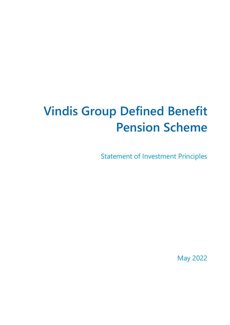# **Vindis Group Defined Benefit Pension Scheme**

Statement of Investment Principles

May 2022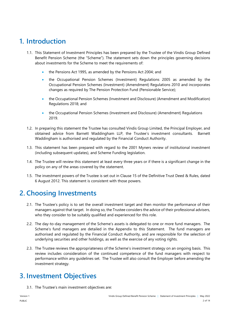# **1. Introduction**

- 1.1. This Statement of Investment Principles has been prepared by the Trustee of the Vindis Group Defined Benefit Pension Scheme (the "Scheme"). The statement sets down the principles governing decisions about investments for the Scheme to meet the requirements of:
	- the Pensions Act 1995, as amended by the Pensions Act 2004; and
	- the Occupational Pension Schemes (Investment) Regulations 2005 as amended by the Occupational Pension Schemes (Investment) (Amendment) Regulations 2010 and incorporates changes as required by The Pension Protection Fund (Pensionable Service);
	- the Occupational Pension Schemes (Investment and Disclosure) (Amendment and Modification) Regulations 2018; and
	- the Occupational Pension Schemes (Investment and Disclosure) (Amendment) Regulations 2019.
- 1.2. In preparing this statement the Trustee has consulted Vindis Group Limited, the Principal Employer, and obtained advice from Barnett Waddingham LLP, the Trustee's investment consultants. Barnett Waddingham is authorised and regulated by the Financial Conduct Authority.
- 1.3. This statement has been prepared with regard to the 2001 Myners review of institutional investment (including subsequent updates), and Scheme Funding legislation.
- 1.4. The Trustee will review this statement at least every three years or if there is a significant change in the policy on any of the areas covered by the statement.
- 1.5. The investment powers of the Trustee is set out in Clause 15 of the Definitive Trust Deed & Rules, dated 6 August 2012. This statement is consistent with those powers.

## **2. Choosing Investments**

- 2.1. The Trustee's policy is to set the overall investment target and then monitor the performance of their managers against that target. In doing so, the Trustee considers the advice of their professional advisers, who they consider to be suitably qualified and experienced for this role.
- 2.2. The day-to-day management of the Scheme's assets is delegated to one or more fund managers. The Scheme's fund managers are detailed in the Appendix to this Statement. The fund managers are authorised and regulated by the Financial Conduct Authority, and are responsible for the selection of underlying securities and other holdings, as well as the exercise of any voting rights.
- 2.3. The Trustee reviews the appropriateness of the Scheme's investment strategy on an ongoing basis. This review includes consideration of the continued competence of the fund managers with respect to performance within any guidelines set. The Trustee will also consult the Employer before amending the investment strategy.

# **3. Investment Objectives**

3.1. The Trustee's main investment objectives are: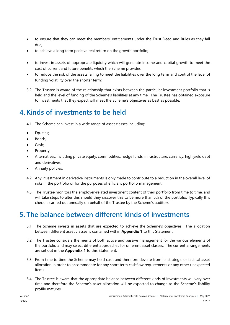- to ensure that they can meet the members' entitlements under the Trust Deed and Rules as they fall due;
- to achieve a long term positive real return on the growth portfolio;
- to invest in assets of appropriate liquidity which will generate income and capital growth to meet the cost of current and future benefits which the Scheme provides;
- to reduce the risk of the assets failing to meet the liabilities over the long term and control the level of funding volatility over the shorter term;
- 3.2. The Trustee is aware of the relationship that exists between the particular investment portfolio that is held and the level of funding of the Scheme's liabilities at any time. The Trustee has obtained exposure to investments that they expect will meet the Scheme's objectives as best as possible.

# **4. Kinds of investments to be held**

- 4.1. The Scheme can invest in a wide range of asset classes including:
- Equities;
- Bonds:
- Cash;
- Property;
- Alternatives, including private equity, commodities, hedge funds, infrastructure, currency, high yield debt and derivatives;
- Annuity policies.
- 4.2. Any investment in derivative instruments is only made to contribute to a reduction in the overall level of risks in the portfolio or for the purposes of efficient portfolio management.
- 4.3. The Trustee monitors the employer-related investment content of their portfolio from time to time, and will take steps to alter this should they discover this to be more than 5% of the portfolio. Typically this check is carried out annually on behalf of the Trustee by the Scheme's auditors.

# **5. The balance between different kinds of investments**

- 5.1. The Scheme invests in assets that are expected to achieve the Scheme's objectives. The allocation between different asset classes is contained within **Appendix 1** to this Statement.
- 5.2. The Trustee considers the merits of both active and passive management for the various elements of the portfolio and may select different approaches for different asset classes. The current arrangements are set out in the **Appendix 1** to this Statement.
- 5.3. From time to time the Scheme may hold cash and therefore deviate from its strategic or tactical asset allocation in order to accommodate for any short term cashflow requirements or any other unexpected items.
- 5.4. The Trustee is aware that the appropriate balance between different kinds of investments will vary over time and therefore the Scheme's asset allocation will be expected to change as the Scheme's liability profile matures.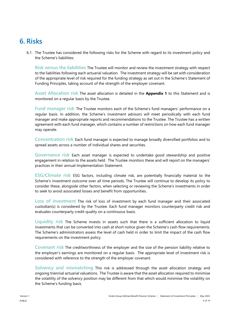## **6. Risks**

6.1. The Trustee has considered the following risks for the Scheme with regard to its investment policy and the Scheme's liabilities:

**Risk versus the liabilities** The Trustee will monitor and review the investment strategy with respect to the liabilities following each actuarial valuation. The investment strategy will be set with consideration of the appropriate level of risk required for the funding strategy as set out in the Scheme's Statement of Funding Principles, taking account of the strength of the employer covenant.

**Asset Allocation risk** The asset allocation is detailed in the **Appendix 1** to this Statement and is monitored on a regular basis by the Trustee.

**Fund manager risk** The Trustee monitors each of the Scheme's fund managers' performance on a regular basis. In addition, the Scheme's investment advisors will meet periodically with each fund manager and make appropriate reports and recommendations to the Trustee. The Trustee has a written agreement with each fund manager, which contains a number of restrictions on how each fund manager may operate.

**Concentration risk** Each fund manager is expected to manage broadly diversified portfolios and to spread assets across a number of individual shares and securities.

**Governance risk** Each asset manager is expected to undertake good stewardship and positive engagement in relation to the assets held. The Trustee monitors these and will report on the managers' practices in their annual Implementation Statement.

**ESG/Climate risk** ESG factors, including climate risk, are potentially financially material to the Scheme's investment outcome over all time periods. The Trustee will continue to develop its policy to consider these, alongside other factors, when selecting or reviewing the Scheme's investments in order to seek to avoid associated losses and benefit from opportunities.

**Loss of investment** The risk of loss of investment by each fund manager and their associated custodian(s) is considered by the Trustee. Each fund manager monitors counterparty credit risk and evaluates counterparty credit quality on a continuous basis.

**Liquidity risk** The Scheme invests in assets such that there is a sufficient allocation to liquid investments that can be converted into cash at short notice given the Scheme's cash flow requirements. The Scheme's administrators assess the level of cash held in order to limit the impact of the cash flow requirements on the investment policy.

**Covenant risk** The creditworthiness of the employer and the size of the pension liability relative to the employer's earnings are monitored on a regular basis. The appropriate level of investment risk is considered with reference to the strength of the employer covenant.

**Solvency and mismatching** This risk is addressed through the asset allocation strategy and ongoing triennial actuarial valuations. The Trustee is aware that the asset allocation required to minimise the volatility of the solvency position may be different from that which would minimise the volatility on the Scheme's funding basis.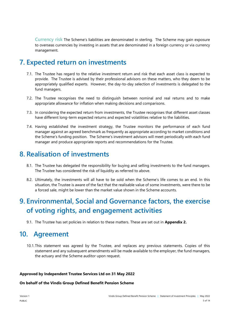**Currency risk** The Scheme's liabilities are denominated in sterling. The Scheme may gain exposure to overseas currencies by investing in assets that are denominated in a foreign currency or via currency management.

## **7. Expected return on investments**

- 7.1. The Trustee has regard to the relative investment return and risk that each asset class is expected to provide. The Trustee is advised by their professional advisors on these matters, who they deem to be appropriately qualified experts. However, the day-to-day selection of investments is delegated to the fund managers.
- 7.2. The Trustee recognises the need to distinguish between nominal and real returns and to make appropriate allowance for inflation when making decisions and comparisons.
- 7.3. In considering the expected return from investments, the Trustee recognises that different asset classes have different long-term expected returns and expected volatilities relative to the liabilities.
- 7.4. Having established the investment strategy, the Trustee monitors the performance of each fund manager against an agreed benchmark as frequently as appropriate according to market conditions and the Scheme's funding position. The Scheme's investment advisors will meet periodically with each fund manager and produce appropriate reports and recommendations for the Trustee.

## **8. Realisation of investments**

- 8.1. The Trustee has delegated the responsibility for buying and selling investments to the fund managers. The Trustee has considered the risk of liquidity as referred to above.
- 8.2. Ultimately, the investments will all have to be sold when the Scheme's life comes to an end. In this situation, the Trustee is aware of the fact that the realisable value of some investments, were there to be a forced sale, might be lower than the market value shown in the Scheme accounts.

# **9. Environmental, Social and Governance factors, the exercise of voting rights, and engagement activities**

9.1. The Trustee has set policies in relation to these matters. These are set out in **Appendix 2.**

## **10. Agreement**

10.1.This statement was agreed by the Trustee, and replaces any previous statements. Copies of this statement and any subsequent amendments will be made available to the employer, the fund managers, the actuary and the Scheme auditor upon request.

#### **Approved by Independent Trustee Services Ltd on 31 May 2022**

#### **On behalf of the Vindis Group Defined Benefit Pension Scheme**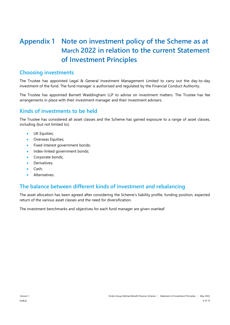# **Appendix 1 Note on investment policy of the Scheme as at March 2022 in relation to the current Statement of Investment Principles**

### **Choosing investments**

The Trustee has appointed Legal & General Investment Management Limited to carry out the day-to-day investment of the fund. The fund manager is authorised and regulated by the Financial Conduct Authority.

The Trustee has appointed Barnett Waddingham LLP to advise on investment matters. The Trustee has fee arrangements in place with their investment manager and their investment advisers.

### **Kinds of investments to be held**

The Trustee has considered all asset classes and the Scheme has gained exposure to a range of asset classes, including (but not limited to):

- UK Equities;
- Overseas Equities;
- Fixed interest government bonds;
- Index-linked government bonds;
- Corporate bonds;
- Derivatives:
- Cash;
- Alternatives.

### **The balance between different kinds of investment and rebalancing**

The asset allocation has been agreed after considering the Scheme's liability profile, funding position, expected return of the various asset classes and the need for diversification.

The investment benchmarks and objectives for each fund manager are given overleaf: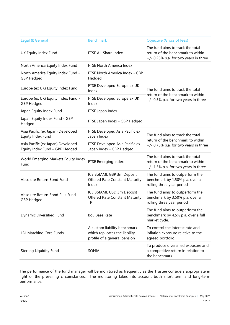| Legal & General                                                     | <b>Benchmark</b>                                                                               | <b>Objective (Gross of fees)</b>                                                                                 |  |
|---------------------------------------------------------------------|------------------------------------------------------------------------------------------------|------------------------------------------------------------------------------------------------------------------|--|
| UK Equity Index Fund                                                | FTSE All-Share Index                                                                           | The fund aims to track the total<br>return of the benchmark to within<br>$+/-$ 0.25% p.a. for two years in three |  |
| North America Equity Index Fund                                     | FTSE North America Index                                                                       |                                                                                                                  |  |
| North America Equity Index Fund -<br><b>GBP Hedged</b>              | FTSE North America Index - GBP<br>Hedged                                                       | The fund aims to track the total<br>return of the benchmark to within                                            |  |
| Europe (ex UK) Equity Index Fund                                    | FTSE Developed Europe ex UK<br>Index                                                           |                                                                                                                  |  |
| Europe (ex UK) Equity Index Fund -<br><b>GBP Hedged</b>             | FTSE Developed Europe ex UK<br>Index                                                           | +/- 0.5% p.a. for two years in three                                                                             |  |
| Japan Equity Index Fund                                             | FTSE Japan Index                                                                               |                                                                                                                  |  |
| Japan Equity Index Fund - GBP<br>Hedged                             | FTSE Japan Index - GBP Hedged                                                                  |                                                                                                                  |  |
| Asia Pacific (ex Japan) Developed<br>Equity Index Fund              | FTSE Developed Asia Pacific ex<br>Japan Index                                                  | The fund aims to track the total                                                                                 |  |
| Asia Pacific (ex Japan) Developed<br>Equity Index Fund - GBP Hedged | FTSE Developed Asia Pacific ex<br>Japan Index - GBP Hedged                                     | return of the benchmark to within<br>$+/-$ 0.75% p.a. for two years in three                                     |  |
| World Emerging Markets Equity Index<br>Fund                         | FTSE Emerging Index                                                                            | The fund aims to track the total<br>return of the benchmark to within<br>+/- 1.5% p.a. for two years in three    |  |
| Absolute Return Bond Fund                                           | ICE BofAML GBP 3m Deposit<br>Offered Rate Constant Maturity<br>Index                           | The fund aims to outperform the<br>benchmark by 1.50% p.a. over a<br>rolling three year period                   |  |
| Absolute Return Bond Plus Fund -<br><b>GBP Hedged</b>               | ICE BofAML USD 3m Deposit<br><b>Offered Rate Constant Maturity</b><br><b>TR</b>                | The fund aims to outperform the<br>benchmark by 3.50% p.a. over a<br>rolling three year period                   |  |
| Dynamic Diversified Fund                                            | <b>BoE Base Rate</b>                                                                           | The fund aims to outperform the<br>benchmark by 4.5% p.a. over a full<br>market cycle.                           |  |
| LDI Matching Core Funds                                             | A custom liability benchmark<br>which replicates the liability<br>profile of a general pension | To control the interest rate and<br>inflation exposure relative to the<br>agreed portfolio                       |  |
| <b>Sterling Liquidity Fund</b>                                      | SONIA                                                                                          | To produce diversified exposure and<br>a competitive return in relation to<br>the benchmark                      |  |

The performance of the fund manager will be monitored as frequently as the Trustee considers appropriate in light of the prevailing circumstances. The monitoring takes into account both short term and long-term performance.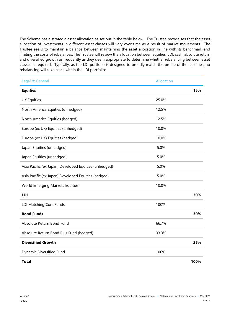The Scheme has a strategic asset allocation as set out in the table below. The Trustee recognises that the asset allocation of investments in different asset classes will vary over time as a result of market movements. The Trustee seeks to maintain a balance between maintaining the asset allocation in line with its benchmark and limiting the costs of rebalances. The Trustee will review the allocation between equities, LDI, cash, absolute return and diversified growth as frequently as they deem appropriate to determine whether rebalancing between asset classes is required. Typically, as the LDI portfolio is designed to broadly match the profile of the liabilities, no rebalancing will take place within the LDI portfolio:

| Legal & General                                       | <b>Allocation</b> |      |
|-------------------------------------------------------|-------------------|------|
| <b>Equities</b>                                       |                   | 15%  |
| <b>UK Equities</b>                                    | 25.0%             |      |
| North America Equities (unhedged)                     | 12.5%             |      |
| North America Equities (hedged)                       | 12.5%             |      |
| Europe (ex UK) Equities (unhedged)                    | 10.0%             |      |
| Europe (ex UK) Equities (hedged)                      | 10.0%             |      |
| Japan Equities (unhedged)                             | 5.0%              |      |
| Japan Equities (unhedged)                             | 5.0%              |      |
| Asia Pacific (ex Japan) Developed Equities (unhedged) | 5.0%              |      |
| Asia Pacific (ex Japan) Developed Equities (hedged)   | 5.0%              |      |
| World Emerging Markets Equities                       | 10.0%             |      |
| <b>LDI</b>                                            |                   | 30%  |
| LDI Matching Core Funds                               | 100%              |      |
| <b>Bond Funds</b>                                     |                   | 30%  |
| Absolute Return Bond Fund                             | 66.7%             |      |
| Absolute Return Bond Plus Fund (hedged)               | 33.3%             |      |
| <b>Diversified Growth</b>                             |                   | 25%  |
| Dynamic Diversified Fund                              | 100%              |      |
| Total                                                 |                   | 100% |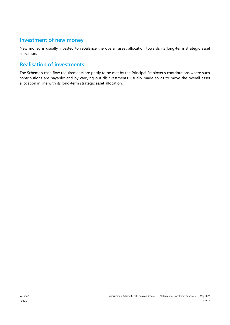## **Investment of new money**

New money is usually invested to rebalance the overall asset allocation towards its long-term strategic asset allocation.

## **Realisation of investments**

The Scheme's cash flow requirements are partly to be met by the Principal Employer's contributions where such contributions are payable; and by carrying out disinvestments, usually made so as to move the overall asset allocation in line with its long-term strategic asset allocation.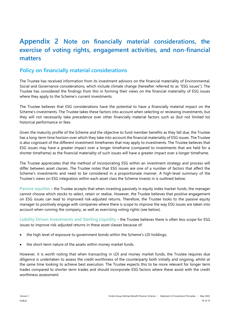## **Appendix 2 Note on financially material considerations, the exercise of voting rights, engagement activities, and non-financial matters**

## **Policy on financially material considerations**

The Trustee has received information from its investment advisors on the financial materiality of Environmental, Social and Governance considerations, which include climate change (hereafter referred to as "ESG issues"). The Trustee has considered the findings from this in forming their views on the financial materiality of ESG issues where they apply to the Scheme's current investments.

The Trustee believes that ESG considerations have the potential to have a financially material impact on the Scheme's investments. The Trustee takes these factors into account when selecting or reviewing investments, but they will not necessarily take precedence over other financially material factors such as (but not limited to) historical performance or fees.

Given the maturity profile of the Scheme and the objective to fund member benefits as they fall due, the Trustee has a long-term time horizon over which they take into account the financial materiality of ESG issues. The Trustee is also cognisant of the different investment timeframes that may apply to investments. The Trustee believes that ESG issues may have a greater impact over a longer timeframe (compared to investments that are held for a shorter timeframe) as the financial materiality of such issues will have a greater impact over a longer timeframe.

The Trustee appreciates that the method of incorporating ESG within an investment strategy and process will differ between asset classes. The Trustee notes that ESG issues are one of a number of factors that affect the Scheme's investments and need to be considered in a proportionate manner. A high-level summary of the Trustee's views on ESG integration within each asset class the Scheme invests in is outlined below:

**Passive equities** – the Trustee accepts that when investing passively in equity index tracker funds, the manager cannot choose which stocks to select, retain or realise. However, the Trustee believes that positive engagement on ESG issues can lead to improved risk-adjusted returns. Therefore, the Trustee looks to the passive equity manager to positively engage with companies where there is scope to improve the way ESG issues are taken into account when running the company, as well as exercising voting rights (see below).

**Liability Driven Investments and Sterling Liquidity** – the Trustee believes there is often less scope for ESG issues to improve risk-adjusted returns in these asset classes because of:

- the high level of exposure to government bonds within the Scheme's LDI holdings;
- the short-term nature of the assets within money market funds.

However, it is worth noting that when transacting in LDI and money market funds, the Trustee requires due diligence is undertaken to assess the credit worthiness of the counterparty both initially and ongoing, whilst at the same time looking to achieve best execution. The Trustee expects this to be more relevant for longer term trades compared to shorter term trades and should incorporate ESG factors where these assist with the credit worthiness assessment.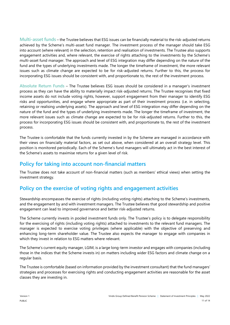**Multi-asset funds** – the Trustee believes that ESG issues can be financially material to the risk-adjusted returns achieved by the Scheme's multi-asset fund manager. The investment process of the manager should take ESG into account (where relevant) in the selection, retention and realisation of investments. The Trustee also supports engagement activities and, where relevant, the exercise of rights attaching to the investments by the Scheme's multi-asset fund manager. The approach and level of ESG integration may differ depending on the nature of the fund and the types of underlying investments made. The longer the timeframe of investment, the more relevant issues such as climate change are expected to be for risk-adjusted returns. Further to this, the process for incorporating ESG issues should be consistent with, and proportionate to, the rest of the investment process.

**Absolute Return Funds** – The Trustee believes ESG issues should be considered in a manager's investment process as they can have the ability to materially impact risk-adjusted returns. The Trustee recognises that fixed income assets do not include voting rights, however, support engagement from their manager to identify ESG risks and opportunities, and engage where appropriate as part of their investment process (i.e. in selecting, retaining or realising underlying assets). The approach and level of ESG integration may differ depending on the nature of the fund and the types of underlying investments made. The longer the timeframe of investment, the more relevant issues such as climate change are expected to be for risk-adjusted returns. Further to this, the process for incorporating ESG issues should be consistent with, and proportionate to, the rest of the investment process.

The Trustee is comfortable that the funds currently invested in by the Scheme are managed in accordance with their views on financially material factors, as set out above, when considered at an overall strategy level. This position is monitored periodically. Each of the Scheme's fund managers will ultimately act in the best interest of the Scheme's assets to maximise returns for a given level of risk.

## **Policy for taking into account non-financial matters**

The Trustee does not take account of non-financial matters (such as members' ethical views) when setting the investment strategy.

## **Policy on the exercise of voting rights and engagement activities**

Stewardship encompasses the exercise of rights (including voting rights) attaching to the Scheme's investments, and the engagement by and with investment managers. The Trustee believes that good stewardship and positive engagement can lead to improved governance and better risk-adjusted returns.

The Scheme currently invests in pooled investment funds only. The Trustee's policy is to delegate responsibility for the exercising of rights (including voting rights) attached to investments to the relevant fund managers. The manager is expected to exercise voting privileges (where applicable) with the objective of preserving and enhancing long-term shareholder value. The Trustee also expects the manager to engage with companies in which they invest in relation to ESG matters where relevant.

The Scheme's current equity manager, LGIM, is a large long-term investor and engages with companies (including those in the indices that the Scheme invests in) on matters including wider ESG factors and climate change on a regular basis.

The Trustee is comfortable (based on information provided by the investment consultant) that the fund managers' strategies and processes for exercising rights and conducting engagement activities are reasonable for the asset classes they are investing in.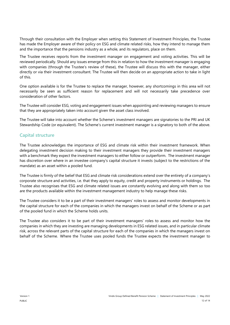Through their consultation with the Employer when setting this Statement of Investment Principles, the Trustee has made the Employer aware of their policy on ESG and climate related risks, how they intend to manage them and the importance that the pensions industry as a whole, and its regulators, place on them.

The Trustee receives reports from the investment manager on engagement and voting activities. This will be reviewed periodically. Should any issues emerge from this in relation to how the investment manager is engaging with companies (through the Trustee's review of these), the Trustee will discuss this with the manager, either directly or via their investment consultant. The Trustee will then decide on an appropriate action to take in light of this.

One option available is for the Trustee to replace the manager, however, any shortcomings in this area will not necessarily be seen as sufficient reason for replacement and will not necessarily take precedence over consideration of other factors.

The Trustee will consider ESG, voting and engagement issues when appointing and reviewing managers to ensure that they are appropriately taken into account given the asset class involved.

The Trustee will take into account whether the Scheme's investment managers are signatories to the PRI and UK Stewardship Code (or equivalent). The Scheme's current investment manager is a signatory to both of the above.

#### **Capital structure**

The Trustee acknowledges the importance of ESG and climate risk within their investment framework. When delegating investment decision making to their investment managers they provide their investment managers with a benchmark they expect the investment managers to either follow or outperform. The investment manager has discretion over where in an investee company's capital structure it invests (subject to the restrictions of the mandate) as an asset within a pooled fund.

The Trustee is firmly of the belief that ESG and climate risk considerations extend over the entirety of a company's corporate structure and activities, i.e. that they apply to equity, credit and property instruments or holdings. The Trustee also recognises that ESG and climate related issues are constantly evolving and along with them so too are the products available within the investment management industry to help manage these risks.

The Trustee considers it to be a part of their investment managers' roles to assess and monitor developments in the capital structure for each of the companies in which the managers invest on behalf of the Scheme or as part of the pooled fund in which the Scheme holds units.

The Trustee also considers it to be part of their investment managers' roles to assess and monitor how the companies in which they are investing are managing developments in ESG related issues, and in particular climate risk, across the relevant parts of the capital structure for each of the companies in which the managers invest on behalf of the Scheme. Where the Trustee uses pooled funds the Trustee expects the investment manager to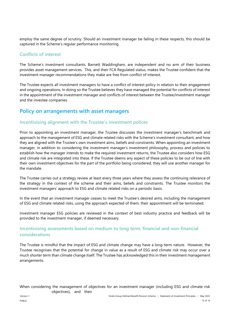employ the same degree of scrutiny. Should an investment manager be failing in these respects, this should be captured in the Scheme's regular performance monitoring.

#### **Conflicts of interest**

The Scheme's investment consultants, Barnett Waddingham, are independent and no arm of their business provides asset management services. This, and their FCA Regulated status, makes the Trustee confident that the investment manager recommendations they make are free from conflict of interest.

The Trustee expects all investment managers to have a conflict of interest policy in relation to their engagement and ongoing operations. In doing so the Trustee believes they have managed the potential for conflicts of interest in the appointment of the investment manager and conflicts of interest between the Trustee/investment manager and the investee companies.

## **Policy on arrangements with asset managers**

#### **Incentivising alignment with the Trustee's investment polices**

Prior to appointing an investment manager, the Trustee discusses the investment manager's benchmark and approach to the management of ESG and climate related risks with the Scheme's investment consultant, and how they are aligned with the Trustee's own investment aims, beliefs and constraints. When appointing an investment manager, in addition to considering the investment manager's investment philosophy, process and policies to establish how the manager intends to make the required investment returns, the Trustee also considers how ESG and climate risk are integrated into these. If the Trustee deems any aspect of these policies to be out of line with their own investment objectives for the part of the portfolio being considered, they will use another manager for the mandate.

The Trustee carries out a strategy review at least every three years where they assess the continuing relevance of the strategy in the context of the scheme and their aims, beliefs and constraints. The Trustee monitors the investment managers' approach to ESG and climate related risks on a periodic basis.

In the event that an investment manager ceases to meet the Trustee's desired aims, including the management of ESG and climate related risks, using the approach expected of them, their appointment will be terminated.

Investment manager ESG policies are reviewed in the context of best industry practice and feedback will be provided to the investment manager, if deemed necessary.

#### **Incentivising assessments based on medium to long term, financial and non-financial considerations**

The Trustee is mindful that the impact of ESG and climate change may have a long-term nature. However, the Trustee recognises that the potential for change in value as a result of ESG and climate risk may occur over a much shorter term than climate change itself. The Trustee has acknowledged this in their investment management arrangements.

When considering the management of objectives for an investment manager (including ESG and climate risk objectives), and then